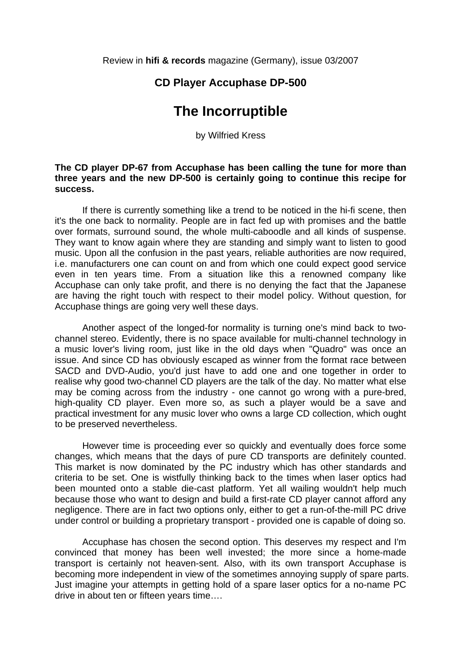Review in **hifi & records** magazine (Germany), issue 03/2007

## **CD Player Accuphase DP-500**

## **The Incorruptible**

by Wilfried Kress

## **The CD player DP-67 from Accuphase has been calling the tune for more than three years and the new DP-500 is certainly going to continue this recipe for success.**

 If there is currently something like a trend to be noticed in the hi-fi scene, then it's the one back to normality. People are in fact fed up with promises and the battle over formats, surround sound, the whole multi-caboodle and all kinds of suspense. They want to know again where they are standing and simply want to listen to good music. Upon all the confusion in the past years, reliable authorities are now required, i.e. manufacturers one can count on and from which one could expect good service even in ten years time. From a situation like this a renowned company like Accuphase can only take profit, and there is no denying the fact that the Japanese are having the right touch with respect to their model policy. Without question, for Accuphase things are going very well these days.

 Another aspect of the longed-for normality is turning one's mind back to twochannel stereo. Evidently, there is no space available for multi-channel technology in a music lover's living room, just like in the old days when "Quadro" was once an issue. And since CD has obviously escaped as winner from the format race between SACD and DVD-Audio, you'd just have to add one and one together in order to realise why good two-channel CD players are the talk of the day. No matter what else may be coming across from the industry - one cannot go wrong with a pure-bred, high-quality CD player. Even more so, as such a player would be a save and practical investment for any music lover who owns a large CD collection, which ought to be preserved nevertheless.

 However time is proceeding ever so quickly and eventually does force some changes, which means that the days of pure CD transports are definitely counted. This market is now dominated by the PC industry which has other standards and criteria to be set. One is wistfully thinking back to the times when laser optics had been mounted onto a stable die-cast platform. Yet all wailing wouldn't help much because those who want to design and build a first-rate CD player cannot afford any negligence. There are in fact two options only, either to get a run-of-the-mill PC drive under control or building a proprietary transport - provided one is capable of doing so.

 Accuphase has chosen the second option. This deserves my respect and I'm convinced that money has been well invested; the more since a home-made transport is certainly not heaven-sent. Also, with its own transport Accuphase is becoming more independent in view of the sometimes annoying supply of spare parts. Just imagine your attempts in getting hold of a spare laser optics for a no-name PC drive in about ten or fifteen years time….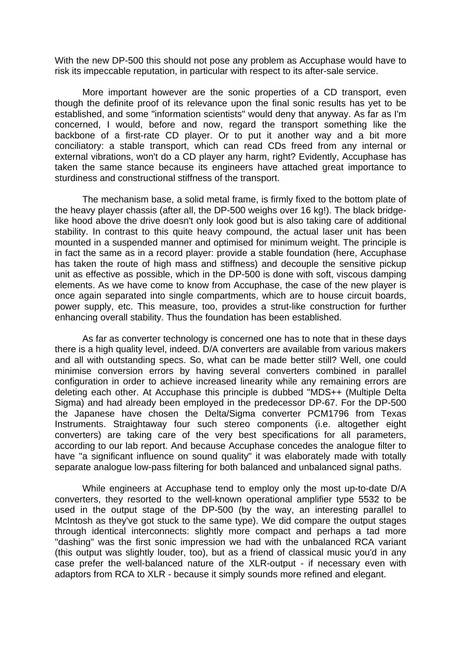With the new DP-500 this should not pose any problem as Accuphase would have to risk its impeccable reputation, in particular with respect to its after-sale service.

 More important however are the sonic properties of a CD transport, even though the definite proof of its relevance upon the final sonic results has yet to be established, and some "information scientists" would deny that anyway. As far as I'm concerned, I would, before and now, regard the transport something like the backbone of a first-rate CD player. Or to put it another way and a bit more conciliatory: a stable transport, which can read CDs freed from any internal or external vibrations, won't do a CD player any harm, right? Evidently, Accuphase has taken the same stance because its engineers have attached great importance to sturdiness and constructional stiffness of the transport.

 The mechanism base, a solid metal frame, is firmly fixed to the bottom plate of the heavy player chassis (after all, the DP-500 weighs over 16 kg!). The black bridgelike hood above the drive doesn't only look good but is also taking care of additional stability. In contrast to this quite heavy compound, the actual laser unit has been mounted in a suspended manner and optimised for minimum weight. The principle is in fact the same as in a record player: provide a stable foundation (here, Accuphase has taken the route of high mass and stiffness) and decouple the sensitive pickup unit as effective as possible, which in the DP-500 is done with soft, viscous damping elements. As we have come to know from Accuphase, the case of the new player is once again separated into single compartments, which are to house circuit boards, power supply, etc. This measure, too, provides a strut-like construction for further enhancing overall stability. Thus the foundation has been established.

 As far as converter technology is concerned one has to note that in these days there is a high quality level, indeed. D/A converters are available from various makers and all with outstanding specs. So, what can be made better still? Well, one could minimise conversion errors by having several converters combined in parallel configuration in order to achieve increased linearity while any remaining errors are deleting each other. At Accuphase this principle is dubbed "MDS++ (Multiple Delta Sigma) and had already been employed in the predecessor DP-67. For the DP-500 the Japanese have chosen the Delta/Sigma converter PCM1796 from Texas Instruments. Straightaway four such stereo components (i.e. altogether eight converters) are taking care of the very best specifications for all parameters, according to our lab report. And because Accuphase concedes the analogue filter to have "a significant influence on sound quality" it was elaborately made with totally separate analogue low-pass filtering for both balanced and unbalanced signal paths.

 While engineers at Accuphase tend to employ only the most up-to-date D/A converters, they resorted to the well-known operational amplifier type 5532 to be used in the output stage of the DP-500 (by the way, an interesting parallel to McIntosh as they've got stuck to the same type). We did compare the output stages through identical interconnects: slightly more compact and perhaps a tad more "dashing" was the first sonic impression we had with the unbalanced RCA variant (this output was slightly louder, too), but as a friend of classical music you'd in any case prefer the well-balanced nature of the XLR-output - if necessary even with adaptors from RCA to XLR - because it simply sounds more refined and elegant.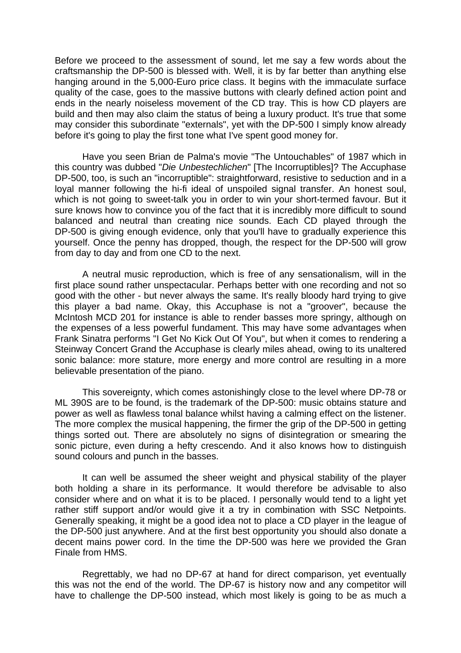Before we proceed to the assessment of sound, let me say a few words about the craftsmanship the DP-500 is blessed with. Well, it is by far better than anything else hanging around in the 5,000-Euro price class. It begins with the immaculate surface quality of the case, goes to the massive buttons with clearly defined action point and ends in the nearly noiseless movement of the CD tray. This is how CD players are build and then may also claim the status of being a luxury product. It's true that some may consider this subordinate "externals", yet with the DP-500 I simply know already before it's going to play the first tone what I've spent good money for.

 Have you seen Brian de Palma's movie "The Untouchables" of 1987 which in this country was dubbed "*Die Unbestechlichen*" [The Incorruptibles]? The Accuphase DP-500, too, is such an "incorruptible": straightforward, resistive to seduction and in a loyal manner following the hi-fi ideal of unspoiled signal transfer. An honest soul, which is not going to sweet-talk you in order to win your short-termed favour. But it sure knows how to convince you of the fact that it is incredibly more difficult to sound balanced and neutral than creating nice sounds. Each CD played through the DP-500 is giving enough evidence, only that you'll have to gradually experience this yourself. Once the penny has dropped, though, the respect for the DP-500 will grow from day to day and from one CD to the next.

 A neutral music reproduction, which is free of any sensationalism, will in the first place sound rather unspectacular. Perhaps better with one recording and not so good with the other - but never always the same. It's really bloody hard trying to give this player a bad name. Okay, this Accuphase is not a "groover", because the McIntosh MCD 201 for instance is able to render basses more springy, although on the expenses of a less powerful fundament. This may have some advantages when Frank Sinatra performs "I Get No Kick Out Of You", but when it comes to rendering a Steinway Concert Grand the Accuphase is clearly miles ahead, owing to its unaltered sonic balance: more stature, more energy and more control are resulting in a more believable presentation of the piano.

 This sovereignty, which comes astonishingly close to the level where DP-78 or ML 390S are to be found, is the trademark of the DP-500: music obtains stature and power as well as flawless tonal balance whilst having a calming effect on the listener. The more complex the musical happening, the firmer the grip of the DP-500 in getting things sorted out. There are absolutely no signs of disintegration or smearing the sonic picture, even during a hefty crescendo. And it also knows how to distinguish sound colours and punch in the basses.

 It can well be assumed the sheer weight and physical stability of the player both holding a share in its performance. It would therefore be advisable to also consider where and on what it is to be placed. I personally would tend to a light yet rather stiff support and/or would give it a try in combination with SSC Netpoints. Generally speaking, it might be a good idea not to place a CD player in the league of the DP-500 just anywhere. And at the first best opportunity you should also donate a decent mains power cord. In the time the DP-500 was here we provided the Gran Finale from HMS.

 Regrettably, we had no DP-67 at hand for direct comparison, yet eventually this was not the end of the world. The DP-67 is history now and any competitor will have to challenge the DP-500 instead, which most likely is going to be as much a